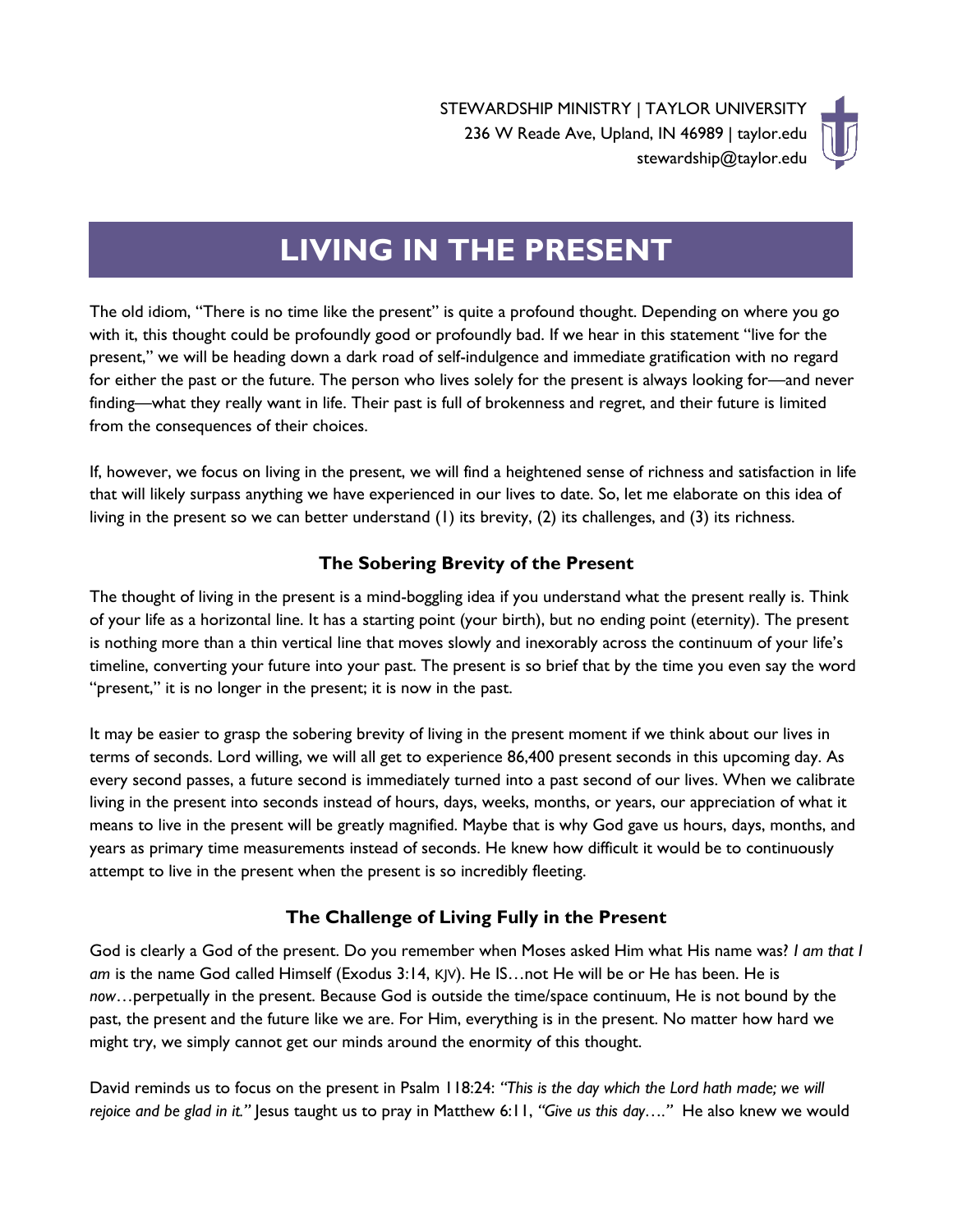

# **LIVING IN THE PRESENT**

The old idiom, "There is no time like the present" is quite a profound thought. Depending on where you go with it, this thought could be profoundly good or profoundly bad. If we hear in this statement "live for the present," we will be heading down a dark road of self-indulgence and immediate gratification with no regard for either the past or the future. The person who lives solely for the present is always looking for—and never finding—what they really want in life. Their past is full of brokenness and regret, and their future is limited from the consequences of their choices.

If, however, we focus on living in the present, we will find a heightened sense of richness and satisfaction in life that will likely surpass anything we have experienced in our lives to date. So, let me elaborate on this idea of living in the present so we can better understand (1) its brevity, (2) its challenges, and (3) its richness.

## **The Sobering Brevity of the Present**

The thought of living in the present is a mind-boggling idea if you understand what the present really is. Think of your life as a horizontal line. It has a starting point (your birth), but no ending point (eternity). The present is nothing more than a thin vertical line that moves slowly and inexorably across the continuum of your life's timeline, converting your future into your past. The present is so brief that by the time you even say the word "present," it is no longer in the present; it is now in the past.

It may be easier to grasp the sobering brevity of living in the present moment if we think about our lives in terms of seconds. Lord willing, we will all get to experience 86,400 present seconds in this upcoming day. As every second passes, a future second is immediately turned into a past second of our lives. When we calibrate living in the present into seconds instead of hours, days, weeks, months, or years, our appreciation of what it means to live in the present will be greatly magnified. Maybe that is why God gave us hours, days, months, and years as primary time measurements instead of seconds. He knew how difficult it would be to continuously attempt to live in the present when the present is so incredibly fleeting.

### **The Challenge of Living Fully in the Present**

God is clearly a God of the present. Do you remember when Moses asked Him what His name was? *I am that I am* is the name God called Himself (Exodus 3:14, KJV). He IS…not He will be or He has been. He is *now*…perpetually in the present. Because God is outside the time/space continuum, He is not bound by the past, the present and the future like we are. For Him, everything is in the present. No matter how hard we might try, we simply cannot get our minds around the enormity of this thought.

David reminds us to focus on the present in Psalm 118:24: *"This is the day which the Lord hath made; we will rejoice and be glad in it."* Jesus taught us to pray in Matthew 6:11, *"Give us this day…."* He also knew we would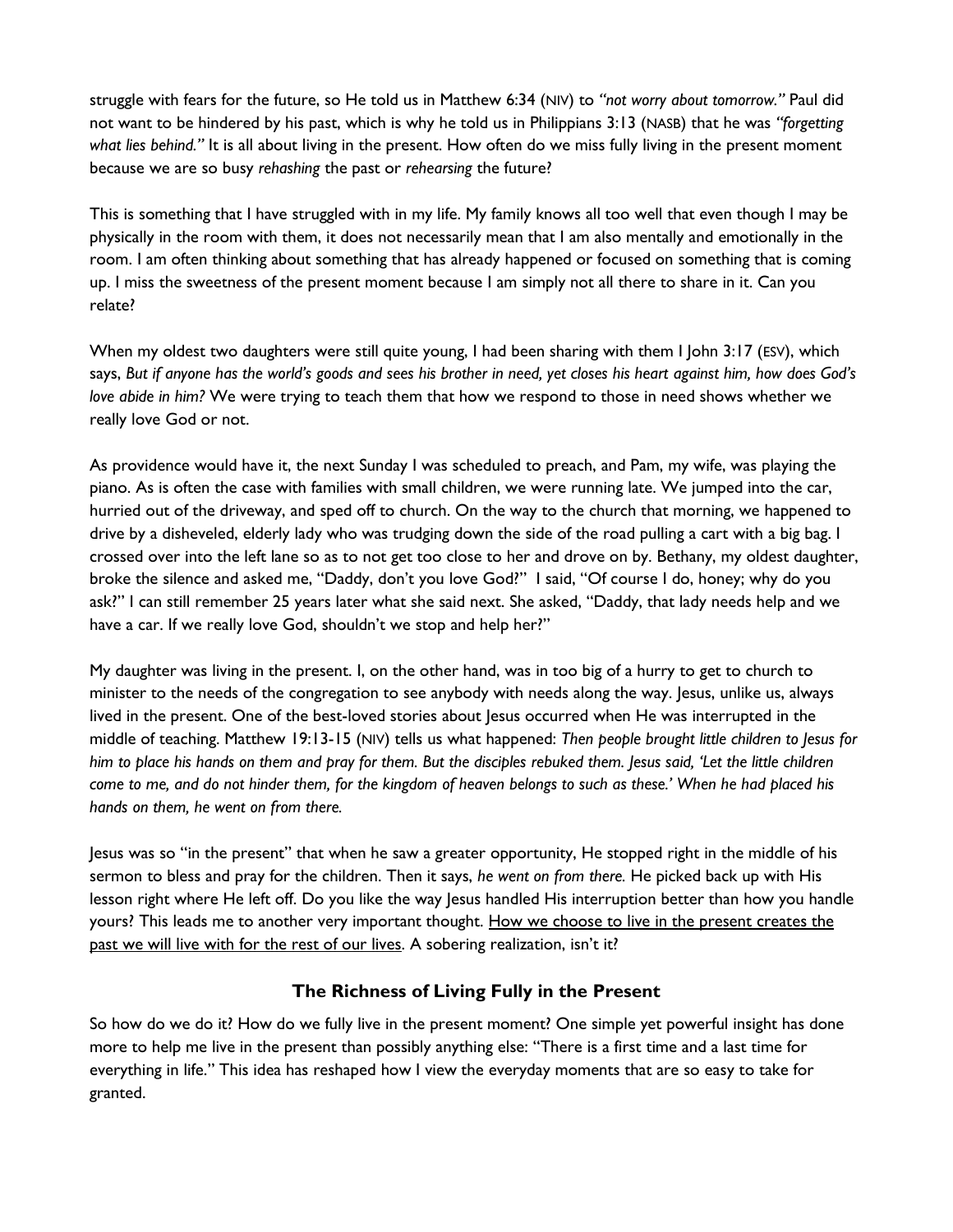struggle with fears for the future, so He told us in Matthew 6:34 (NIV) to *"not worry about tomorrow."* Paul did not want to be hindered by his past, which is why he told us in Philippians 3:13 (NASB) that he was *"forgetting what lies behind."* It is all about living in the present. How often do we miss fully living in the present moment because we are so busy *rehashing* the past or *rehearsing* the future?

This is something that I have struggled with in my life. My family knows all too well that even though I may be physically in the room with them, it does not necessarily mean that I am also mentally and emotionally in the room. I am often thinking about something that has already happened or focused on something that is coming up. I miss the sweetness of the present moment because I am simply not all there to share in it. Can you relate?

When my oldest two daughters were still quite young, I had been sharing with them I John 3:17 (ESV), which says, *But if anyone has the world's goods and sees his brother in need, yet closes his heart against him, how does God's love abide in him?* We were trying to teach them that how we respond to those in need shows whether we really love God or not.

As providence would have it, the next Sunday I was scheduled to preach, and Pam, my wife, was playing the piano. As is often the case with families with small children, we were running late. We jumped into the car, hurried out of the driveway, and sped off to church. On the way to the church that morning, we happened to drive by a disheveled, elderly lady who was trudging down the side of the road pulling a cart with a big bag. I crossed over into the left lane so as to not get too close to her and drove on by. Bethany, my oldest daughter, broke the silence and asked me, "Daddy, don't you love God?" I said, "Of course I do, honey; why do you ask?" I can still remember 25 years later what she said next. She asked, "Daddy, that lady needs help and we have a car. If we really love God, shouldn't we stop and help her?"

My daughter was living in the present. I, on the other hand, was in too big of a hurry to get to church to minister to the needs of the congregation to see anybody with needs along the way. Jesus, unlike us, always lived in the present. One of the best-loved stories about Jesus occurred when He was interrupted in the middle of teaching. Matthew 19:13-15 (NIV) tells us what happened: *Then people brought little children to Jesus for him to place his hands on them and pray for them. But the disciples rebuked them. Jesus said, 'Let the little children come to me, and do not hinder them, for the kingdom of heaven belongs to such as these.' When he had placed his hands on them, he went on from there.*

Jesus was so "in the present" that when he saw a greater opportunity, He stopped right in the middle of his sermon to bless and pray for the children. Then it says, *he went on from there.* He picked back up with His lesson right where He left off. Do you like the way Jesus handled His interruption better than how you handle yours? This leads me to another very important thought. How we choose to live in the present creates the past we will live with for the rest of our lives. A sobering realization, isn't it?

### **The Richness of Living Fully in the Present**

So how do we do it? How do we fully live in the present moment? One simple yet powerful insight has done more to help me live in the present than possibly anything else: "There is a first time and a last time for everything in life." This idea has reshaped how I view the everyday moments that are so easy to take for granted.